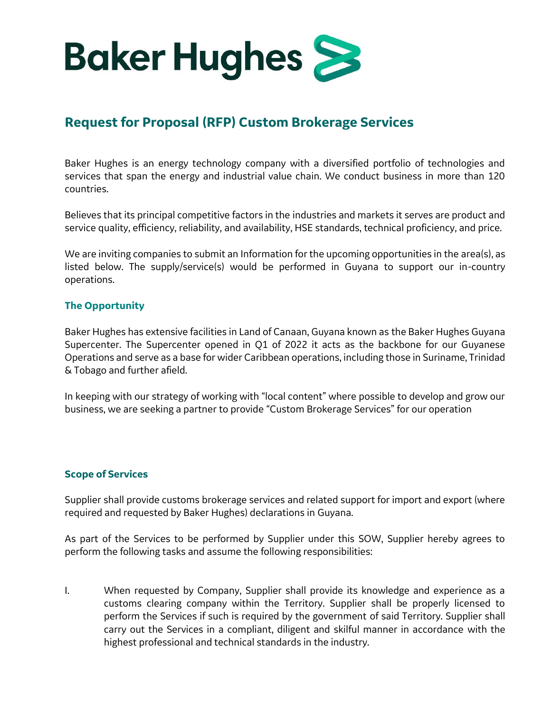

# **Request for Proposal (RFP) Custom Brokerage Services**

Baker Hughes is an energy technology company with a diversified portfolio of technologies and services that span the energy and industrial value chain. We conduct business in more than 120 countries.

Believes that its principal competitive factors in the industries and markets it serves are product and service quality, efficiency, reliability, and availability, HSE standards, technical proficiency, and price.

We are inviting companies to submit an Information for the upcoming opportunities in the area(s), as listed below. The supply/service(s) would be performed in Guyana to support our in-country operations.

## **The Opportunity**

Baker Hughes has extensive facilities in Land of Canaan, Guyana known as the Baker Hughes Guyana Supercenter. The Supercenter opened in Q1 of 2022 it acts as the backbone for our Guyanese Operations and serve as a base for wider Caribbean operations, including those in Suriname, Trinidad & Tobago and further afield.

In keeping with our strategy of working with "local content" where possible to develop and grow our business, we are seeking a partner to provide "Custom Brokerage Services" for our operation

## **Scope of Services**

Supplier shall provide customs brokerage services and related support for import and export (where required and requested by Baker Hughes) declarations in Guyana.

As part of the Services to be performed by Supplier under this SOW, Supplier hereby agrees to perform the following tasks and assume the following responsibilities:

I. When requested by Company, Supplier shall provide its knowledge and experience as a customs clearing company within the Territory. Supplier shall be properly licensed to perform the Services if such is required by the government of said Territory. Supplier shall carry out the Services in a compliant, diligent and skilful manner in accordance with the highest professional and technical standards in the industry.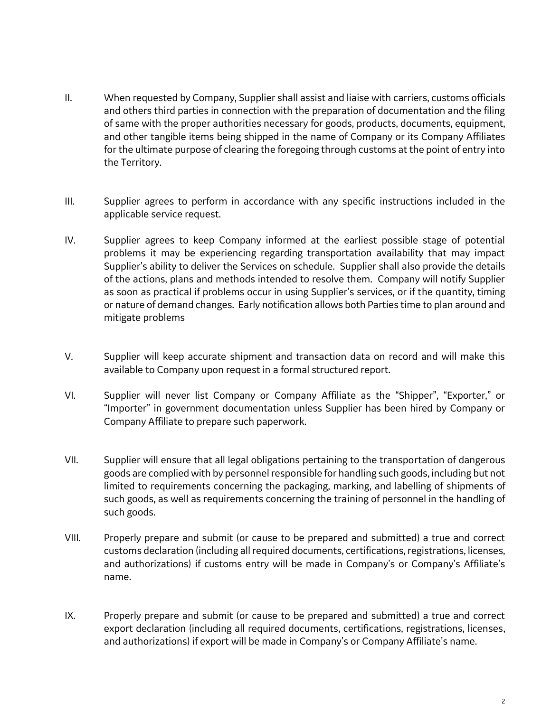- II. When requested by Company, Supplier shall assist and liaise with carriers, customs officials and others third parties in connection with the preparation of documentation and the filing of same with the proper authorities necessary for goods, products, documents, equipment, and other tangible items being shipped in the name of Company or its Company Affiliates for the ultimate purpose of clearing the foregoing through customs at the point of entry into the Territory.
- III. Supplier agrees to perform in accordance with any specific instructions included in the applicable service request.
- IV. Supplier agrees to keep Company informed at the earliest possible stage of potential problems it may be experiencing regarding transportation availability that may impact Supplier's ability to deliver the Services on schedule. Supplier shall also provide the details of the actions, plans and methods intended to resolve them. Company will notify Supplier as soon as practical if problems occur in using Supplier's services, or if the quantity, timing or nature of demand changes. Early notification allows both Parties time to plan around and mitigate problems
- V. Supplier will keep accurate shipment and transaction data on record and will make this available to Company upon request in a formal structured report.
- VI. Supplier will never list Company or Company Affiliate as the "Shipper", "Exporter," or "Importer" in government documentation unless Supplier has been hired by Company or Company Affiliate to prepare such paperwork.
- VII. Supplier will ensure that all legal obligations pertaining to the transportation of dangerous goods are complied with by personnel responsible for handling such goods, including but not limited to requirements concerning the packaging, marking, and labelling of shipments of such goods, as well as requirements concerning the training of personnel in the handling of such goods.
- VIII. Properly prepare and submit (or cause to be prepared and submitted) a true and correct customs declaration (including all required documents, certifications, registrations, licenses, and authorizations) if customs entry will be made in Company's or Company's Affiliate's name.
- IX. Properly prepare and submit (or cause to be prepared and submitted) a true and correct export declaration (including all required documents, certifications, registrations, licenses, and authorizations) if export will be made in Company's or Company Affiliate's name.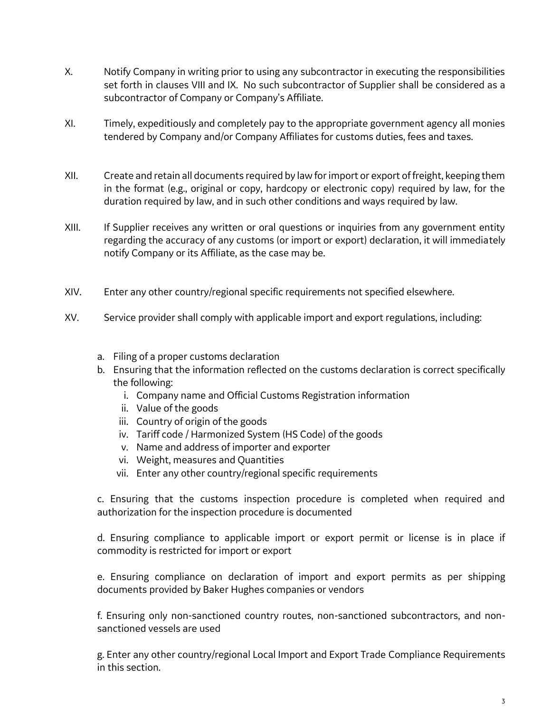- X. Notify Company in writing prior to using any subcontractor in executing the responsibilities set forth in clauses VIII and IX. No such subcontractor of Supplier shall be considered as a subcontractor of Company or Company's Affiliate.
- XI. Timely, expeditiously and completely pay to the appropriate government agency all monies tendered by Company and/or Company Affiliates for customs duties, fees and taxes.
- XII. Create and retain all documents required by law for import or export of freight, keeping them in the format (e.g., original or copy, hardcopy or electronic copy) required by law, for the duration required by law, and in such other conditions and ways required by law.
- XIII. If Supplier receives any written or oral questions or inquiries from any government entity regarding the accuracy of any customs (or import or export) declaration, it will immediately notify Company or its Affiliate, as the case may be.
- XIV. Enter any other country/regional specific requirements not specified elsewhere.
- XV. Service provider shall comply with applicable import and export regulations, including:
	- a. Filing of a proper customs declaration
	- b. Ensuring that the information reflected on the customs declaration is correct specifically the following:
		- i. Company name and Official Customs Registration information
		- ii. Value of the goods
		- iii. Country of origin of the goods
		- iv. Tariff code / Harmonized System (HS Code) of the goods
		- v. Name and address of importer and exporter
		- vi. Weight, measures and Quantities
		- vii. Enter any other country/regional specific requirements

c. Ensuring that the customs inspection procedure is completed when required and authorization for the inspection procedure is documented

d. Ensuring compliance to applicable import or export permit or license is in place if commodity is restricted for import or export

e. Ensuring compliance on declaration of import and export permits as per shipping documents provided by Baker Hughes companies or vendors

f. Ensuring only non-sanctioned country routes, non-sanctioned subcontractors, and nonsanctioned vessels are used

g. Enter any other country/regional Local Import and Export Trade Compliance Requirements in this section.